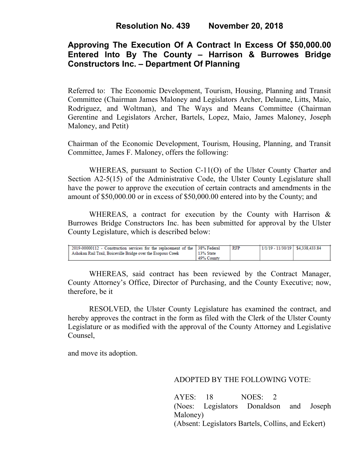# **Approving The Execution Of A Contract In Excess Of \$50,000.00 Entered Into By The County – Harrison & Burrowes Bridge Constructors Inc. – Department Of Planning**

Referred to: The Economic Development, Tourism, Housing, Planning and Transit Committee (Chairman James Maloney and Legislators Archer, Delaune, Litts, Maio, Rodriguez, and Woltman), and The Ways and Means Committee (Chairman Gerentine and Legislators Archer, Bartels, Lopez, Maio, James Maloney, Joseph Maloney, and Petit)

Chairman of the Economic Development, Tourism, Housing, Planning, and Transit Committee, James F. Maloney, offers the following:

WHEREAS, pursuant to Section C-11(O) of the Ulster County Charter and Section A2-5(15) of the Administrative Code, the Ulster County Legislature shall have the power to approve the execution of certain contracts and amendments in the amount of \$50,000.00 or in excess of \$50,000.00 entered into by the County; and

WHEREAS, a contract for execution by the County with Harrison & Burrowes Bridge Constructors Inc. has been submitted for approval by the Ulster County Legislature, which is described below:

| 2019-00000112 - Construction services for the replacement of the 138% Federal |            | RFP | 1/1/19 - 11/30/19   \$4.338.433.84 |  |
|-------------------------------------------------------------------------------|------------|-----|------------------------------------|--|
| Ashokan Rail Trail, Boiceville Bridge over the Esopous Creek                  | 13% State  |     |                                    |  |
|                                                                               | 49% County |     |                                    |  |

WHEREAS, said contract has been reviewed by the Contract Manager, County Attorney's Office, Director of Purchasing, and the County Executive; now, therefore, be it

RESOLVED, the Ulster County Legislature has examined the contract, and hereby approves the contract in the form as filed with the Clerk of the Ulster County Legislature or as modified with the approval of the County Attorney and Legislative Counsel,

and move its adoption.

#### ADOPTED BY THE FOLLOWING VOTE:

AYES: 18 NOES: 2 (Noes: Legislators Donaldson and Joseph Maloney) (Absent: Legislators Bartels, Collins, and Eckert)